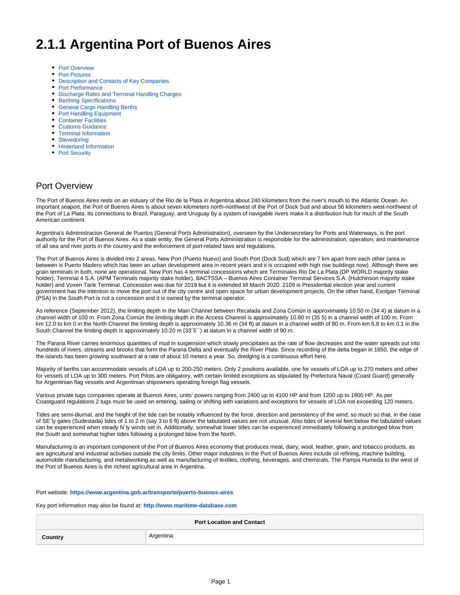# **2.1.1 Argentina Port of Buenos Aires**

- [Port Overview](#page-0-0)
- [Port Pictures](#page-1-0)
- [Description and Contacts of Key Companies](#page-1-1)
- [Port Performance](#page-1-2)
- [Discharge Rates and Terminal Handling Charges](#page-2-0)
- [Berthing Specifications](#page-2-1)
- $\bullet$ [General Cargo Handling Berths](#page-3-0)
- [Port Handling Equipment](#page-3-1)
- [Container Facilities](#page-5-0)
- $\bullet$ [Customs Guidance](#page-6-0)
- [Terminal Information](#page-7-0)
- **[Stevedoring](#page-7-1)**
- [Hinterland Information](#page-7-2)
- [Port Security](#page-8-0)

### <span id="page-0-0"></span>Port Overview

The Port of Buenos Aires rests on an estuary of the Rio de la Plata in Argentina about 240 kilometers from the river's mouth to the Atlantic Ocean. An important seaport, the Port of Buenos Aires is about seven kilometers north-northwest of the Port of Dock Sud and about 56 kilometers west-northwest of the Port of La Plata. Its connections to Brazil, Paraguay, and Uruguay by a system of navigable rivers make it a distribution hub for much of the South American continent.

Argentina's Administracion General de Puertos (General Ports Administration), overseen by the Undersecretary for Ports and Waterways, is the port authority for the Port of Buenos Aires. As a state entity, the General Ports Administration is responsible for the administration, operation, and maintenance of all sea and river ports in the country and the enforcement of port-related laws and regulations.

The Port of Buenos Aires is divided into 2 areas, New Port (Puerto Nuevo) and South Port (Dock Sud) which are 7 km apart from each other (area in between is Puerto Madero which has been an urban development area in recent years and it is occupied with high rise buildings now). Although there are grain terminals in both, none are operational. New Port has 4 terminal concessions which are Terminales Rio De La Plata (DP WORLD majority stake holder), Terminal 4 S.A. (APM Terminals majority stake holder), BACTSSA – Buenos Aires Container Terminal Services S.A. (Hutchinson majority stake holder) and Voxen Tank Terminal. Concession was due for 2019 but it is extended till March 2020. 2109 is Presidential election year and current government has the intention to move the port out of the city centre and open space for urban development projects. On the other hand, Exolgan Terminal (PSA) in the South Port is not a concession and it is owned by the terminal operator.

As reference (September 2012), the limiting depth in the Main Channel between Recalada and Zona Común is approximately 10.50 m (34 4) at datum in a channel width of 100 m. From Zona Común the limiting depth in the Access Channel is approximately 10.80 m (35 5) in a channel width of 100 m. From km 12.0 to km 0 in the North Channel the limiting depth is approximately 10.36 m (34 ft) at datum in a channel width of 80 m. From km 6.8 to km 0.1 in the South Channel the limiting depth is approximately 10.20 m (33'5') at datum in a channel width of 90 m.

The Parana River carries enormous quantities of mud in suspension which slowly precipitates as the rate of flow decreases and the water spreads out into hundreds of rivers, streams and brooks that form the Parana Delta and eventually the River Plate. Since recording of the delta began in 1850, the edge of the islands has been growing southward at a rate of about 10 meters a year. So, dredging is a continuous effort here.

Majority of berths can accommodate vessels of LOA up to 200-250 meters. Only 2 positions available, one for vessels of LOA up to 270 meters and other for vessels of LOA up to 300 meters. Port Pilots are obligatory, with certain limited exceptions as stipulated by Prefectura Naval (Coast Guard) generally for Argentinian flag vessels and Argentinian shipowners operating foreign flag vessels.

Various private tugs companies operate at Buenos Aires, units' powers ranging from 2400 up to 4100 HP and from 1200 up to 1800 HP. As per Coastguard regulations 2 tugs must be used on entering, sailing or shifting with variations and exceptions for vessels of LOA not exceeding 120 meters.

Tides are semi-diurnal, and the height of the tide can be notably influenced by the force, direction and persistency of the wind; so much so that, in the case of SE´ly gales (Sudestada) tides of 1 to 2 m (say 3 to 6 ft) above the tabulated values are not unusual. Also tides of several feet below the tabulated values can be experienced when steady N´ly winds set in. Additionally, somewhat lower tides can be experienced immediately following a prolonged blow from the South and somewhat higher tides following a prolonged blow from the North.

Manufacturing is an important component of the Port of Buenos Aires economy that produces meat, dairy, wool, leather, grain, and tobacco products, as are agricultural and industrial activities outside the city limits. Other major industries in the Port of Buenos Aires include oil refining, machine building, automobile manufacturing, and metalworking as well as manufacturing of textiles, clothing, beverages, and chemicals. The Pampa Humeda to the west of the Port of Buenos Aires is the richest agricultural area in Argentina.

#### Port website: **<https://www.argentina.gob.ar/transporte/puerto-buenos-aires>**

Key port information may also be found at: **<http://www.maritime-database.com>**

| <b>Port Location and Contact</b> |           |  |
|----------------------------------|-----------|--|
| Country                          | Argentina |  |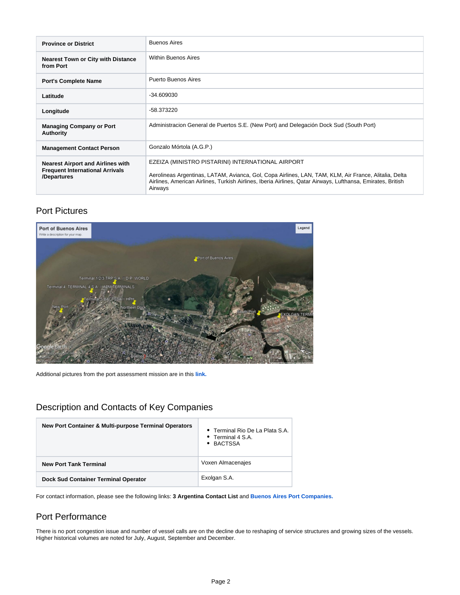| <b>Province or District</b>                                                                       | <b>Buenos Aires</b>                                                                                                                                                                                                                                                                  |
|---------------------------------------------------------------------------------------------------|--------------------------------------------------------------------------------------------------------------------------------------------------------------------------------------------------------------------------------------------------------------------------------------|
| <b>Nearest Town or City with Distance</b><br>from Port                                            | <b>Within Buenos Aires</b>                                                                                                                                                                                                                                                           |
| <b>Port's Complete Name</b>                                                                       | Puerto Buenos Aires                                                                                                                                                                                                                                                                  |
| Latitude                                                                                          | $-34.609030$                                                                                                                                                                                                                                                                         |
| Longitude                                                                                         | -58.373220                                                                                                                                                                                                                                                                           |
| <b>Managing Company or Port</b><br><b>Authority</b>                                               | Administracion General de Puertos S.E. (New Port) and Delegación Dock Sud (South Port)                                                                                                                                                                                               |
| <b>Management Contact Person</b>                                                                  | Gonzalo Mórtola (A.G.P.)                                                                                                                                                                                                                                                             |
| <b>Nearest Airport and Airlines with</b><br><b>Frequent International Arrivals</b><br>/Departures | EZEIZA (MINISTRO PISTARINI) INTERNATIONAL AIRPORT<br>Aerolineas Argentinas, LATAM, Avianca, Gol, Copa Airlines, LAN, TAM, KLM, Air France, Alitalia, Delta<br>Airlines, American Airlines, Turkish Airlines, Iberia Airlines, Qatar Airways, Lufthansa, Emirates, British<br>Airways |

# Port Pictures

<span id="page-1-0"></span>

Additional pictures from the port assessment mission are in this **[link.](https://www.dropbox.com/sh/ibr9oy64zn2w566/AACOro5WXj3JQBYGP3LP1fBSa?dl=0)**

# <span id="page-1-1"></span>Description and Contacts of Key Companies

| New Port Container & Multi-purpose Terminal Operators | • Terminal Rio De La Plata S.A.<br>• Terminal 4 S.A.<br>• BACTSSA |
|-------------------------------------------------------|-------------------------------------------------------------------|
| <b>New Port Tank Terminal</b>                         | Voxen Almacenajes                                                 |
| <b>Dock Sud Container Terminal Operator</b>           | Exolgan S.A.                                                      |

For contact information, please see the following links: **3 Argentina Contact List** and **[Buenos Aires Port Companies.](https://dlca.logcluster.org/download/attachments/49054445/Buenos%20Aires%20Port%20Companies.docx?version=1&modificationDate=1605862333000&api=v2)**

# <span id="page-1-2"></span>Port Performance

There is no port congestion issue and number of vessel calls are on the decline due to reshaping of service structures and growing sizes of the vessels. Higher historical volumes are noted for July, August, September and December.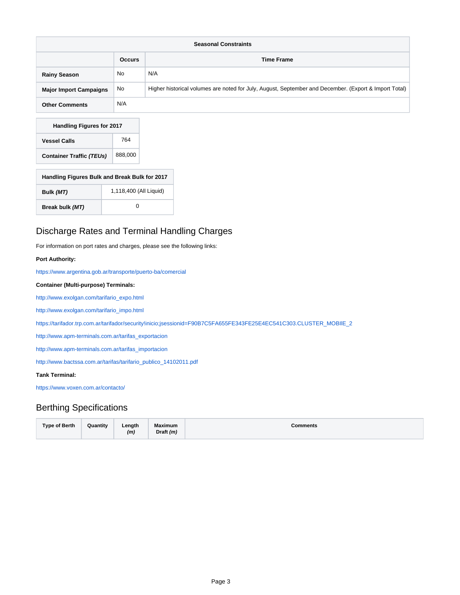| <b>Seasonal Constraints</b>   |               |                                                                                                       |
|-------------------------------|---------------|-------------------------------------------------------------------------------------------------------|
|                               | <b>Occurs</b> | <b>Time Frame</b>                                                                                     |
| <b>Rainy Season</b>           | No            | N/A                                                                                                   |
| <b>Major Import Campaigns</b> | <b>No</b>     | Higher historical volumes are noted for July, August, September and December. (Export & Import Total) |
| <b>Other Comments</b>         | N/A           |                                                                                                       |

| <b>Handling Figures for 2017</b> |         |  |
|----------------------------------|---------|--|
| <b>Vessel Calls</b>              | 764     |  |
| <b>Container Traffic (TEUs)</b>  | 888.000 |  |

| Handling Figures Bulk and Break Bulk for 2017 |                        |  |
|-----------------------------------------------|------------------------|--|
| Bulk (MT)                                     | 1,118,400 (All Liquid) |  |
| Break bulk (MT)                               | O                      |  |

# <span id="page-2-0"></span>Discharge Rates and Terminal Handling Charges

For information on port rates and charges, please see the following links:

### **Port Authority:**

<https://www.argentina.gob.ar/transporte/puerto-ba/comercial>

**Container (Multi-purpose) Terminals:**

[http://www.exolgan.com/tarifario\\_expo.html](http://www.exolgan.com/tarifario_expo.html)

[http://www.exolgan.com/tarifario\\_impo.html](http://www.exolgan.com/tarifario_impo.html)

[https://tarifador.trp.com.ar/tarifador/security!inicio;jsessionid=F90B7C5FA655FE343FE25E4EC541C303.CLUSTER\\_MOBIlE\\_2](https://tarifador.trp.com.ar/tarifador/security!inicio;jsessionid=F90B7C5FA655FE343FE25E4EC541C303.CLUSTER_MOBIlE_2)

[http://www.apm-terminals.com.ar/tarifas\\_exportacion](http://www.apm-terminals.com.ar/tarifas_exportacion)

[http://www.apm-terminals.com.ar/tarifas\\_importacion](http://www.apm-terminals.com.ar/tarifas_importacion)

[http://www.bactssa.com.ar/tarifas/tarifario\\_publico\\_14102011.pdf](http://www.bactssa.com.ar/tarifas/tarifario_publico_14102011.pdf)

### **Tank Terminal:**

<https://www.voxen.com.ar/contacto/>

### <span id="page-2-1"></span>Berthing Specifications

| <b>Type of Berth</b> | Quantity | Length<br>(m | <b>Maximum</b><br>Draft $(m)$ | Comments |
|----------------------|----------|--------------|-------------------------------|----------|
|                      |          |              |                               |          |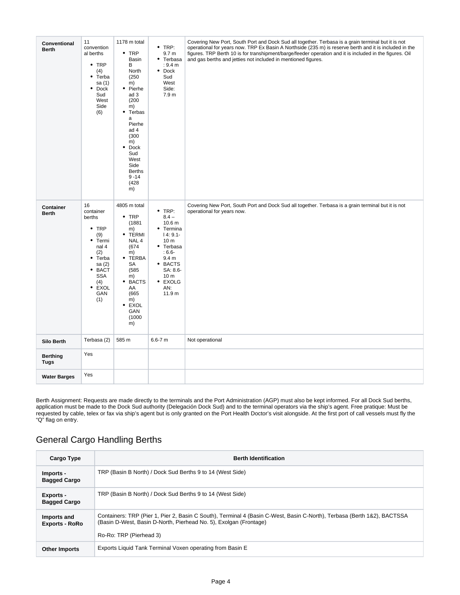| Conventional<br><b>Berth</b>   | 11<br>convention<br>al berths<br>$\cdot$ TRP<br>(4)<br>$\bullet$<br>Terba<br>sa (1)<br>$\bullet$ Dock<br>Sud<br>West<br>Side<br>(6)                                      | 1178 m total<br>$•$ TRP<br>Basin<br>В<br>North<br>(250)<br>m)<br>• Pierhe<br>ad 3<br>(200)<br>m)<br>Terbas<br>٠<br>a<br>Pierhe<br>ad 4<br>(300)<br>m)<br>Dock<br>٠<br>Sud<br>West<br>Side<br><b>Berths</b><br>$9 - 14$<br>(428)<br>m) | $\bullet$ TRP:<br>9.7 <sub>m</sub><br>• Terbasa<br>: 9.4 m<br>Dock<br>٠<br>Sud<br>West<br>Side:<br>7.9 m                                                                                                | Covering New Port, South Port and Dock Sud all together. Terbasa is a grain terminal but it is not<br>operational for years now. TRP Ex Basin A Northside (235 m) is reserve berth and it is included in the<br>figures. TRP Berth 10 is for transhipment/barge/feeder operation and it is included in the figures. Oil<br>and gas berths and jetties not included in mentioned figures. |
|--------------------------------|--------------------------------------------------------------------------------------------------------------------------------------------------------------------------|---------------------------------------------------------------------------------------------------------------------------------------------------------------------------------------------------------------------------------------|---------------------------------------------------------------------------------------------------------------------------------------------------------------------------------------------------------|------------------------------------------------------------------------------------------------------------------------------------------------------------------------------------------------------------------------------------------------------------------------------------------------------------------------------------------------------------------------------------------|
| Container<br><b>Berth</b>      | 16<br>container<br>berths<br>$•$ TRP<br>(9)<br>$\bullet$<br>Termi<br>nal 4<br>(2)<br>$\bullet$<br>Terba<br>sa (2)<br>· BACT<br><b>SSA</b><br>(4)<br>• EXOL<br>GAN<br>(1) | 4805 m total<br>$\bullet$ TRP<br>(1881)<br>m)<br><b>TERMI</b><br>٠<br>NAL 4<br>(674)<br>m)<br>TERBA<br>٠<br>SA<br>(585)<br>m)<br>• BACTS<br>AA<br>(665)<br>m)<br>٠<br><b>EXOL</b><br>GAN<br>(1000)<br>m)                              | $•$ TRP:<br>$8.4 -$<br>10.6 <sub>m</sub><br>• Termina<br>$14:9.1-$<br>10 <sub>m</sub><br>• Terbasa<br>$:6.6-$<br>9.4 <sub>m</sub><br>• BACTS<br>SA: 8.6-<br>10 <sub>m</sub><br>• EXOLG<br>AN:<br>11.9 m | Covering New Port, South Port and Dock Sud all together. Terbasa is a grain terminal but it is not<br>operational for years now.                                                                                                                                                                                                                                                         |
| Silo Berth                     | Terbasa (2)                                                                                                                                                              | 585 m                                                                                                                                                                                                                                 | $6.6 - 7 m$                                                                                                                                                                                             | Not operational                                                                                                                                                                                                                                                                                                                                                                          |
| <b>Berthing</b><br><b>Tugs</b> | Yes                                                                                                                                                                      |                                                                                                                                                                                                                                       |                                                                                                                                                                                                         |                                                                                                                                                                                                                                                                                                                                                                                          |
| <b>Water Barges</b>            | Yes                                                                                                                                                                      |                                                                                                                                                                                                                                       |                                                                                                                                                                                                         |                                                                                                                                                                                                                                                                                                                                                                                          |

Berth Assignment: Requests are made directly to the terminals and the Port Administration (AGP) must also be kept informed. For all Dock Sud berths, application must be made to the Dock Sud authority (Delegación Dock Sud) and to the terminal operators via the ship's agent. Free pratique: Must be requested by cable, telex or fax via ship's agent but is only granted on the Port Health Doctor's visit alongside. At the first port of call vessels must fly the "Q" flag on entry.

# <span id="page-3-0"></span>General Cargo Handling Berths

<span id="page-3-1"></span>

| Cargo Type                           | <b>Berth Identification</b>                                                                                                                                                                                             |
|--------------------------------------|-------------------------------------------------------------------------------------------------------------------------------------------------------------------------------------------------------------------------|
| Imports -<br><b>Bagged Cargo</b>     | TRP (Basin B North) / Dock Sud Berths 9 to 14 (West Side)                                                                                                                                                               |
| Exports -<br><b>Bagged Cargo</b>     | TRP (Basin B North) / Dock Sud Berths 9 to 14 (West Side)                                                                                                                                                               |
| Imports and<br><b>Exports - RoRo</b> | Containers: TRP (Pier 1, Pier 2, Basin C South), Terminal 4 (Basin C-West, Basin C-North), Terbasa (Berth 1&2), BACTSSA<br>(Basin D-West, Basin D-North, Pierhead No. 5), Exolgan (Frontage)<br>Ro-Ro: TRP (Pierhead 3) |
| <b>Other Imports</b>                 | Exports Liquid Tank Terminal Voxen operating from Basin E                                                                                                                                                               |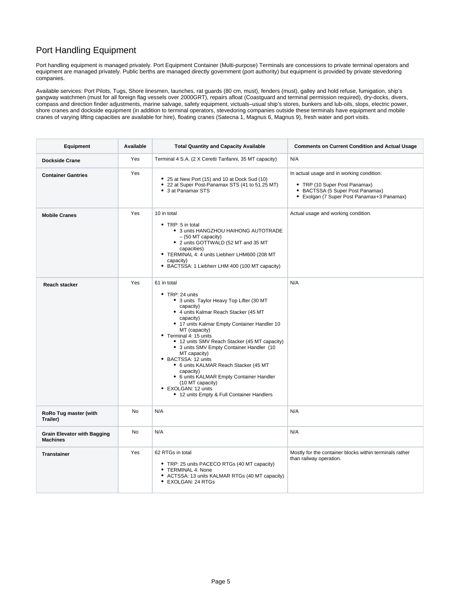# Port Handling Equipment

Port handling equipment is managed privately. Port Equipment Container (Multi-purpose) Terminals are concessions to private terminal operators and equipment are managed privately. Public berths are managed directly government (port authority) but equipment is provided by private stevedoring companies.

Available services: Port Pilots, Tugs, Shore linesmen, launches, rat guards (80 cm, must), fenders (must), galley and hold refuse, fumigation, ship's gangway watchmen (must for all foreign flag vessels over 2000GRT), repairs afloat (Coastguard and terminal permission required), dry-docks, divers, compass and direction finder adjustments, marine salvage, safety equipment, victuals–usual ship's stores, bunkers and lub-oils, slops, electric power, shore cranes and dockside equipment (in addition to terminal operators, stevedoring companies outside these terminals have equipment and mobile cranes of varying lifting capacities are available for hire), floating cranes (Satecna 1, Magnus 6, Magnus 9), fresh water and port visits.

| Equipment                                             | Available | <b>Total Quantity and Capacity Available</b>                                                                                                                                                                                                                                                                                                                                                                                                                                                                                                                             | <b>Comments on Current Condition and Actual Usage</b>                                                                                                        |
|-------------------------------------------------------|-----------|--------------------------------------------------------------------------------------------------------------------------------------------------------------------------------------------------------------------------------------------------------------------------------------------------------------------------------------------------------------------------------------------------------------------------------------------------------------------------------------------------------------------------------------------------------------------------|--------------------------------------------------------------------------------------------------------------------------------------------------------------|
| <b>Dockside Crane</b>                                 | Yes       | Terminal 4 S.A. (2 X Ceretti Tanfanni, 35 MT capacity)                                                                                                                                                                                                                                                                                                                                                                                                                                                                                                                   | N/A                                                                                                                                                          |
| <b>Container Gantries</b>                             | Yes       | • 25 at New Port (15) and 10 at Dock Sud (10)<br>• 22 at Super Post-Panamax STS (41 to 51.25 MT)<br>• 3 at Panamax STS                                                                                                                                                                                                                                                                                                                                                                                                                                                   | In actual usage and in working condition:<br>• TRP (10 Super Post Panamax)<br>• BACTSSA (5 Super Post Panamax)<br>• Exolgan (7 Super Post Panamax+3 Panamax) |
| <b>Mobile Cranes</b>                                  | Yes       | 10 in total<br>$\bullet$ TRP: 5 in total<br>• 3 units HANGZHOU HAIHONG AUTOTRADE<br>$-$ (50 MT capacity)<br>• 2 units GOTTWALD (52 MT and 35 MT<br>capacities)<br>• TERMINAL 4: 4 units Liebherr LHM600 (208 MT<br>capacity)<br>• BACTSSA: 1 Liebherr LHM 400 (100 MT capacity)                                                                                                                                                                                                                                                                                          | Actual usage and working condition.                                                                                                                          |
| <b>Reach stacker</b>                                  | Yes       | 61 in total<br>• TRP: 24 units<br>• 3 units Taylor Heavy Top Lifter (30 MT<br>capacity)<br>• 4 units Kalmar Reach Stacker (45 MT<br>capacity)<br>• 17 units Kalmar Empty Container Handler 10<br>MT (capacity)<br>• Terminal 4: 15 units<br>• 12 units SMV Reach Stacker (45 MT capacity)<br>• 3 units SMV Empty Container Handler (10<br>MT capacity)<br>• BACTSSA: 12 units<br>• 6 units KALMAR Reach Stacker (45 MT<br>capacity)<br>• 6 units KALMAR Empty Container Handler<br>(10 MT capacity)<br>• EXOLGAN: 12 units<br>• 12 units Empty & Full Container Handlers | N/A                                                                                                                                                          |
| RoRo Tug master (with<br>Trailer)                     | <b>No</b> | N/A                                                                                                                                                                                                                                                                                                                                                                                                                                                                                                                                                                      | N/A                                                                                                                                                          |
| <b>Grain Elevator with Bagging</b><br><b>Machines</b> | No        | N/A                                                                                                                                                                                                                                                                                                                                                                                                                                                                                                                                                                      | N/A                                                                                                                                                          |
| <b>Transtainer</b>                                    | Yes       | 62 RTGs in total<br>• TRP: 25 units PACECO RTGs (40 MT capacity)<br>• TERMINAL 4: None<br>• ACTSSA: 13 units KALMAR RTGs (40 MT capacity)<br>• EXOLGAN: 24 RTGs                                                                                                                                                                                                                                                                                                                                                                                                          | Mostly for the container blocks within terminals rather<br>than railway operation.                                                                           |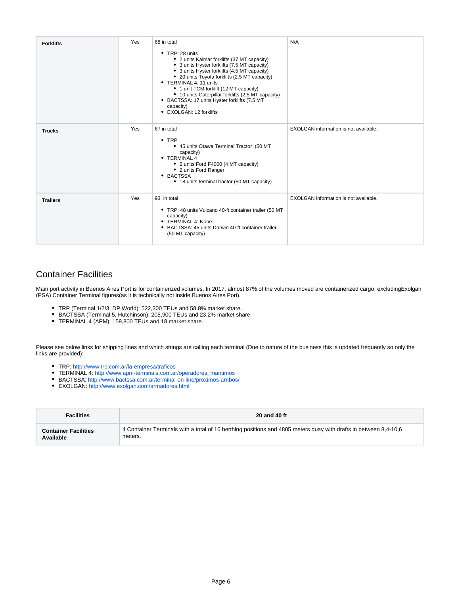| <b>Forklifts</b> | Yes | 68 in total<br>$\bullet$ TRP: 28 units<br>• 2 units Kalmar forklifts (37 MT capacity)<br>• 3 units Hyster forklifts (7.5 MT capacity)<br>• 3 units Hyster forklifts (4.5 MT capacity)<br>• 20 units Toyota forklifts (2.5 MT capacity)<br>• TERMINAL 4: 11 units<br>• 1 unit TCM forklift (12 MT capacity)<br>• 10 units Caterpillar forklifts (2.5 MT capacity)<br>• BACTSSA: 17 units Hyster forklifts (7.5 MT<br>capacity)<br>• EXOLGAN: 12 forklifts | N/A                                   |
|------------------|-----|----------------------------------------------------------------------------------------------------------------------------------------------------------------------------------------------------------------------------------------------------------------------------------------------------------------------------------------------------------------------------------------------------------------------------------------------------------|---------------------------------------|
| <b>Trucks</b>    | Yes | 67 in total<br>$\cdot$ TRP<br>• 45 units Otawa Terminal Tractor (50 MT<br>capacity)<br>• TERMINAL 4<br>• 2 units Ford F4000 (4 MT capacity)<br>• 2 units Ford Ranger<br>• BACTSSA<br>• 18 units terminal tractor (50 MT capacity)                                                                                                                                                                                                                        | EXOLGAN information is not available. |
| <b>Trailers</b>  | Yes | 93 in total<br>• TRP: 48 units Vulcano 40-ft container trailer (50 MT<br>capacity)<br>• TERMINAL 4: None<br>• BACTSSA: 45 units Darwin 40-ft container trailer<br>(50 MT capacity)                                                                                                                                                                                                                                                                       | EXOLGAN information is not available. |

# <span id="page-5-0"></span>Container Facilities

Main port activity in Buenos Aires Port is for containerized volumes. In 2017, almost 87% of the volumes moved are containerized cargo, excludingExolgan (PSA) Container Terminal figures(as it is technically not inside Buenos Aires Port).

- TRP (Terminal 1/2/3, DP World): 522,300 TEUs and 58.8% market share.
- BACTSSA (Terminal 5, Hutchinson): 205,900 TEUs and 23.2% market share.
- TERMINAL 4 (APM): 159,800 TEUs and 18 market share.

Please see below links for shipping lines and which strings are calling each terminal (Due to nature of the business this is updated frequently so only the links are provided):

- TRP:<http://www.trp.com.ar/la-empresa/traficos>
- TERMINAL 4: [http://www.apm-terminals.com.ar/operadores\\_maritimos](http://www.apm-terminals.com.ar/operadores_maritimos)
- BACTSSA:<http://www.bactssa.com.ar/terminal-on-line/proximos-arribos/>
- EXOLGAN:<http://www.exolgan.com/armadores.html>

| <b>Facilities</b>           | 20 and 40 ft                                                                                                     |
|-----------------------------|------------------------------------------------------------------------------------------------------------------|
| <b>Container Facilities</b> | 4 Container Terminals with a total of 16 berthing positions and 4805 meters quay with drafts in between 8,4-10,6 |
| Available                   | meters.                                                                                                          |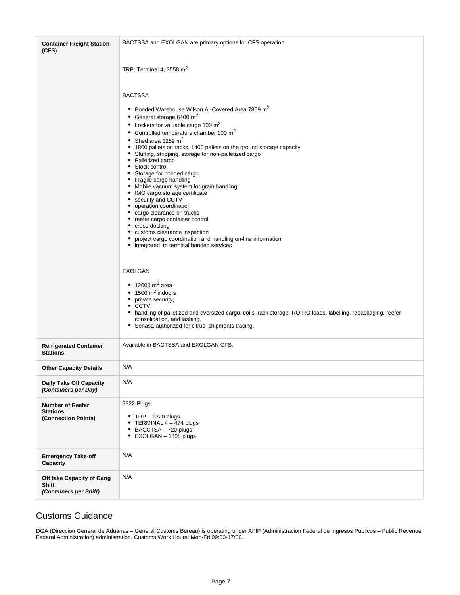| <b>Container Freight Station</b><br>(CFS)                           | BACTSSA and EXOLGAN are primary options for CFS operation.                                                                                                                                                                                                                                                                                                                                                                                                                                                                                                                                                                                                                                                                                                                                                                                                                                                                                                                                                                                                                                                                                                                                                                      |
|---------------------------------------------------------------------|---------------------------------------------------------------------------------------------------------------------------------------------------------------------------------------------------------------------------------------------------------------------------------------------------------------------------------------------------------------------------------------------------------------------------------------------------------------------------------------------------------------------------------------------------------------------------------------------------------------------------------------------------------------------------------------------------------------------------------------------------------------------------------------------------------------------------------------------------------------------------------------------------------------------------------------------------------------------------------------------------------------------------------------------------------------------------------------------------------------------------------------------------------------------------------------------------------------------------------|
|                                                                     | TRP: Terminal 4, 3558 $m2$                                                                                                                                                                                                                                                                                                                                                                                                                                                                                                                                                                                                                                                                                                                                                                                                                                                                                                                                                                                                                                                                                                                                                                                                      |
|                                                                     | <b>BACTSSA</b>                                                                                                                                                                                                                                                                                                                                                                                                                                                                                                                                                                                                                                                                                                                                                                                                                                                                                                                                                                                                                                                                                                                                                                                                                  |
|                                                                     | • Bonded Warehouse Wilson A -Covered Area 7859 m <sup>2</sup><br>General storage 6400 m <sup>2</sup><br>٠<br>Lockers for valuable cargo 100 $\mathrm{m}^2$<br>٠<br>Controlled temperature chamber 100 m <sup>2</sup><br>٠<br>Shed area 1259 m <sup>2</sup><br>1800 pallets on racks, 1400 pallets on the ground storage capacity<br>٠<br>Stuffing, stripping, storage for non-palletized cargo<br>Palletized cargo<br>٠<br>Stock control<br>Storage for bonded cargo<br>Fragile cargo handling<br>٠<br>Mobile vacuum system for grain handling<br>٠<br>IMO cargo storage certificate<br>٠<br>security and CCTV<br>٠<br>operation coordination<br>٠<br>cargo clearance on trucks<br>reefer cargo container control<br>٠<br>cross-docking<br>customs clearance inspection<br>٠<br>project cargo coordination and handling on-line information<br>integrated to terminal bonded services<br>٠<br><b>EXOLGAN</b><br>• 12000 $m^2$ area<br>$\bullet$ 1500 m <sup>2</sup> indoors<br>private security,<br>٠<br>CCTV,<br>٠<br>handling of palletized and oversized cargo, coils, rack storage, RO-RO loads, labelling, repackaging, reefer<br>٠<br>consolidation, and lashing.<br>Senasa-authorized for citrus shipments tracing.<br>٠ |
| <b>Refrigerated Container</b><br><b>Stations</b>                    | Available in BACTSSA and EXOLGAN CFS.                                                                                                                                                                                                                                                                                                                                                                                                                                                                                                                                                                                                                                                                                                                                                                                                                                                                                                                                                                                                                                                                                                                                                                                           |
| <b>Other Capacity Details</b>                                       | N/A                                                                                                                                                                                                                                                                                                                                                                                                                                                                                                                                                                                                                                                                                                                                                                                                                                                                                                                                                                                                                                                                                                                                                                                                                             |
| <b>Daily Take Off Capacity</b><br>(Containers per Day)              | N/A                                                                                                                                                                                                                                                                                                                                                                                                                                                                                                                                                                                                                                                                                                                                                                                                                                                                                                                                                                                                                                                                                                                                                                                                                             |
| <b>Number of Reefer</b><br><b>Stations</b><br>(Connection Points)   | 3822 Plugs<br>• TRP $-$ 1320 plugs<br>TERMINAL 4 - 474 plugs<br>٠<br>• BACCTSA - 720 plugs<br>EXOLGAN - 1308 plugs<br>٠                                                                                                                                                                                                                                                                                                                                                                                                                                                                                                                                                                                                                                                                                                                                                                                                                                                                                                                                                                                                                                                                                                         |
| <b>Emergency Take-off</b><br>Capacity                               | N/A                                                                                                                                                                                                                                                                                                                                                                                                                                                                                                                                                                                                                                                                                                                                                                                                                                                                                                                                                                                                                                                                                                                                                                                                                             |
| Off take Capacity of Gang<br><b>Shift</b><br>(Containers per Shift) | N/A                                                                                                                                                                                                                                                                                                                                                                                                                                                                                                                                                                                                                                                                                                                                                                                                                                                                                                                                                                                                                                                                                                                                                                                                                             |

### <span id="page-6-0"></span>Customs Guidance

DGA (Direccion General de Aduanas – General Customs Bureau) is operating under AFIP (Administracion Federal de Ingresos Publicos – Public Revenue Federal Administration) administration. Customs Work Hours: Mon-Fri 09:00-17:00.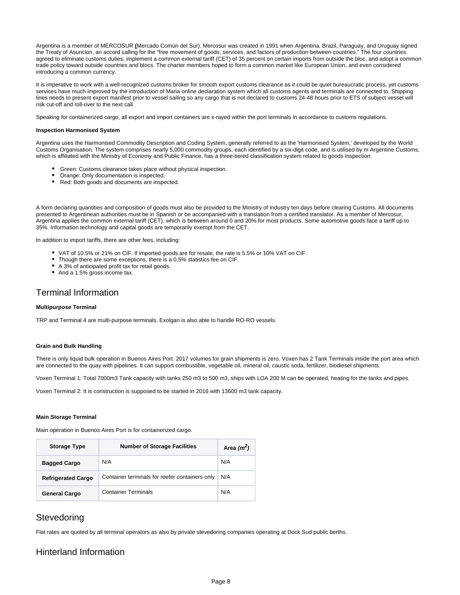Argentina is a member of MERCOSUR **(**Mercado Común del Sur). Mercosur was created in 1991 when Argentina, Brazil, Paraguay, and Uruguay signed the Treaty of Asuncion, an accord calling for the "free movement of goods, services, and factors of production between countries." The four countries agreed to eliminate customs duties, implement a common external tariff (CET) of 35 percent on certain imports from outside the bloc, and adopt a common trade policy toward outside countries and blocs. The charter members hoped to form a common market like European Union, and even considered introducing a common currency.

It is imperative to work with a well-recognized customs broker for smooth export customs clearance as it could be quiet bureaucratic process, yet customs services have much improved by the introduction of Maria online declaration system which all customs agents and terminals are connected to. Shipping lines needs to present export manifest prior to vessel sailing so any cargo that is not declared to customs 24-48 hours prior to ETS of subject vessel will risk cut-off and roll-over to the next call.

Speaking for containerized cargo, all export and import containers are x-rayed within the port terminals in accordance to customs regulations.

#### **Inspection Harmonised System**

Argentina uses the Harmonised Commodity Description and Coding System, generally referred to as the 'Harmonised System,' developed by the World Customs Organisation. The system comprises nearly 5,000 commodity groups, each identified by a six-digit code, and is utilised by m Argentine Customs, which is affiliated with the Ministry of Economy and Public Finance, has a three-tiered classification system related to goods inspection:

- Green: Customs clearance takes place without physical inspection.
- Orange: Only documentation is inspected.
- Red: Both goods and documents are inspected.  $\bullet$

A form declaring quantities and composition of goods must also be provided to the Ministry of Industry ten days before clearing Customs. All documents presented to Argentinean authorities must be in Spanish or be accompanied with a translation from a certified translator. As a member of Mercosur, Argentina applies the common external tariff (CET), which is between around 0 and 20% for most products. Some automotive goods face a tariff up to 35%. Information technology and capital goods are temporarily exempt from the CET.

In addition to import tariffs, there are other fees, including:

- VAT of 10.5% or 21% on CIF. If imported goods are for resale, the rate is 5.5% or 10% VAT on CIF.
- Though there are some exceptions, there is a 0.5% statistics fee on CIF.
- A 3% of anticipated profit tax for retail goods.
- And a 1.5% gross income tax.

### <span id="page-7-0"></span>Terminal Information

#### **Multipurpose Terminal**

TRP and Terminal 4 are multi-purpose terminals. Exolgan is also able to handle RO-RO vessels.

#### **Grain and Bulk Handling**

There is only liquid bulk operation in Buenos Aires Port. 2017 volumes for grain shipments is zero. Voxen has 2 Tank Terminals inside the port area which are connected to the quay with pipelines. It can support combustible, vegetable oil, mineral oil, caustic soda, fertilizer, biodiesel shipments.

Voxen Terminal 1: Total 7000m3 Tank capacity with tanks 250 m3 to 500 m3, ships with LOA 200 M can be operated, heating for the tanks and pipes.

Voxen Terminal 2: It is construction is supposed to be started in 2016 with 13600 m3 tank capacity.

#### **Main Storage Terminal**

Main operation in Buenos Aires Port is for containerized cargo.

| <b>Storage Type</b>       | <b>Number of Storage Facilities</b>            | Area $(m^2)$ |
|---------------------------|------------------------------------------------|--------------|
| <b>Bagged Cargo</b>       | N/A                                            | N/A          |
| <b>Refrigerated Cargo</b> | Container terminals for reefer containers only | N/A          |
| <b>General Cargo</b>      | <b>Container Terminals</b>                     | N/A          |

### <span id="page-7-1"></span>**Stevedoring**

Flat rates are quoted by all terminal operators as also by private stevedoring companies operating at Dock Sud public berths.

### <span id="page-7-2"></span>Hinterland Information